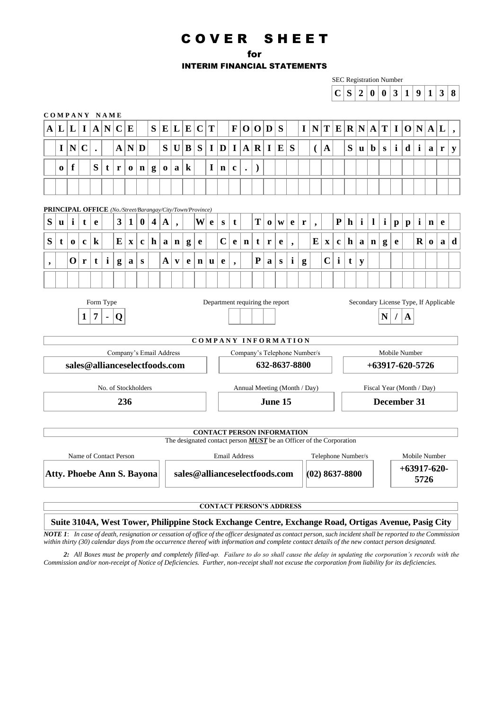# C O V E R S H E E T

for

INTERIM FINANCIAL STATEMENTS

|                          |             |             |              |                |                        |                         |              |                                                           |                         |              |                          |           |             |              |              |                          |                  |                                   |               |           |              |              |                                                                            |              |                    |              |                |              | <b>SEC Registration Number</b>        |              |                  |              |               |   |             |
|--------------------------|-------------|-------------|--------------|----------------|------------------------|-------------------------|--------------|-----------------------------------------------------------|-------------------------|--------------|--------------------------|-----------|-------------|--------------|--------------|--------------------------|------------------|-----------------------------------|---------------|-----------|--------------|--------------|----------------------------------------------------------------------------|--------------|--------------------|--------------|----------------|--------------|---------------------------------------|--------------|------------------|--------------|---------------|---|-------------|
|                          |             |             |              |                |                        |                         |              |                                                           |                         |              |                          |           |             |              |              |                          |                  |                                   |               |           |              |              |                                                                            |              | $\mathbf C$        | S            | $\overline{2}$ | $\bf{0}$     | $\bf{0}$                              | $\mathbf{3}$ | $\mathbf{1}$     | 9            | $\mathbf{1}$  | 3 | 8           |
|                          |             |             |              |                | COMPANY NAME           |                         |              |                                                           |                         |              |                          |           |             |              |              |                          |                  |                                   |               |           |              |              |                                                                            |              |                    |              |                |              |                                       |              |                  |              |               |   |             |
| $\mathbf A$              | L           | L           | $\mathbf I$  | $\mathbf A$    | $\mathbf N$            | C                       | $\bf{E}$     |                                                           | S                       | E            | L                        | ${\bf E}$ | $\mathbf C$ | T            |              | $\mathbf{F}$             | $\boldsymbol{0}$ | $\mathbf{O}$                      | D             | S         |              | $\mathbf{I}$ | ${\bf N}$                                                                  | $\mathbf{T}$ | E                  | $\bf R$      | N              | $\mathbf A$  | T                                     | $\mathbf I$  | $\boldsymbol{0}$ | N            | $\mathbf{A}$  | L |             |
|                          | $\mathbf I$ | ${\bf N}$   | $\mathbf C$  |                |                        | $\mathbf{A}$            | ${\bf N}$    | D                                                         |                         | S            | $\mathbf U$              | $\bf{B}$  | S           | $\mathbf{I}$ | D            | $\mathbf I$              | $\mathbf{A}$     | $\mathbf R$                       | $\mathbf I$   | E         | S            |              | €                                                                          | $\mathbf{A}$ |                    | S            | <b>u</b>       | $\mathbf b$  | $\mathbf{s}$                          | $\mathbf{i}$ | $\mathbf d$      | $\mathbf{i}$ | a             | r | ${\bf y}$   |
|                          | $\bf{0}$    | f           |              | S              | t                      | r                       | $\bf{0}$     | $\mathbf n$                                               | g                       | $\bf{0}$     | $\mathbf{a}$             | $\bf k$   |             | $\mathbf{I}$ | $\mathbf n$  | $\mathbf c$              |                  | $\mathcal{E}$                     |               |           |              |              |                                                                            |              |                    |              |                |              |                                       |              |                  |              |               |   |             |
|                          |             |             |              |                |                        |                         |              |                                                           |                         |              |                          |           |             |              |              |                          |                  |                                   |               |           |              |              |                                                                            |              |                    |              |                |              |                                       |              |                  |              |               |   |             |
|                          |             |             |              |                |                        |                         |              |                                                           |                         |              |                          |           |             |              |              |                          |                  |                                   |               |           |              |              |                                                                            |              |                    |              |                |              |                                       |              |                  |              |               |   |             |
|                          |             |             |              |                |                        |                         |              | PRINCIPAL OFFICE (No./Street/Barangay/City/Town/Province) |                         |              |                          |           |             |              |              |                          |                  |                                   |               |           |              |              |                                                                            |              |                    |              |                |              |                                       |              |                  |              |               |   |             |
| S                        | <b>u</b>    | $\mathbf i$ | t            | e              |                        | $\overline{\mathbf{3}}$ | $\mathbf{1}$ | $\bf{0}$                                                  | $\overline{\mathbf{4}}$ | $\mathbf A$  | $\overline{\phantom{a}}$ |           | W           | e            | $\mathbf{s}$ | $\mathbf t$              |                  | T                                 | $\mathbf 0$   | W         | e            | r            | $\overline{\phantom{a}}$                                                   |              | ${\bf P}$          | $\mathbf{h}$ | $\mathbf{i}$   | $\mathbf{l}$ | $\mathbf{i}$                          | $\mathbf{p}$ | $\mathbf{p}$     | $\mathbf{i}$ | $\mathbf n$   | e |             |
| S                        | t           | $\bf{0}$    | $\mathbf c$  | $\bf k$        |                        | E                       | $\mathbf X$  | $\mathbf c$                                               | $\mathbf h$             | a            | $\mathbf n$              | g         | e           |              | $\mathbf C$  | e                        | $\mathbf n$      | t                                 | r             | e         | ,            |              | E                                                                          | $\mathbf X$  | $\mathbf c$        | $\mathbf{h}$ | a              | $\mathbf n$  | g                                     | e            |                  | $\mathbf R$  | $\bf{0}$      | a | $\mathbf d$ |
| $\overline{\phantom{a}}$ |             | $\mathbf 0$ | r            | $\mathbf t$    | $\mathbf{i}$           | g                       | a            | ${\bf S}$                                                 |                         | $\mathbf{A}$ | $\mathbf{v}$             | e         | $\mathbf n$ | u            | e            | $\overline{\phantom{a}}$ |                  | ${\bf P}$                         | a             | ${\bf S}$ | $\mathbf{i}$ | g            |                                                                            | $\mathbf C$  | $\mathbf{i}$       | $\mathbf t$  | ${\bf y}$      |              |                                       |              |                  |              |               |   |             |
|                          |             |             |              |                |                        |                         |              |                                                           |                         |              |                          |           |             |              |              |                          |                  |                                   |               |           |              |              |                                                                            |              |                    |              |                |              |                                       |              |                  |              |               |   |             |
|                          |             |             |              |                | Form Type              |                         |              |                                                           |                         |              |                          |           |             |              |              |                          |                  | Department requiring the report   |               |           |              |              |                                                                            |              |                    |              |                |              | Secondary License Type, If Applicable |              |                  |              |               |   |             |
|                          |             |             | $\mathbf{1}$ | $\overline{7}$ |                        | Q                       |              |                                                           |                         |              |                          |           |             |              |              |                          |                  |                                   |               |           |              |              |                                                                            |              |                    |              |                |              | N                                     |              | $\mathbf{A}$     |              |               |   |             |
|                          |             |             |              |                |                        |                         |              |                                                           |                         |              |                          |           |             |              |              |                          |                  |                                   |               |           |              |              |                                                                            |              |                    |              |                |              |                                       |              |                  |              |               |   |             |
|                          |             |             |              |                |                        |                         |              |                                                           |                         |              |                          |           |             |              |              |                          |                  | COMPANY INFORMATION               |               |           |              |              |                                                                            |              |                    |              |                |              |                                       |              |                  |              |               |   |             |
|                          |             |             |              |                |                        |                         |              | Company's Email Address                                   |                         |              |                          |           |             |              |              |                          |                  |                                   |               |           |              |              | Company's Telephone Number/s                                               |              |                    |              |                |              | Mobile Number                         |              |                  |              |               |   |             |
|                          |             |             |              |                |                        |                         |              | sales@allianceselectfoods.com                             |                         |              |                          |           |             |              |              |                          |                  |                                   | 632-8637-8800 |           |              |              |                                                                            |              |                    |              |                |              | $+63917 - 620 - 5726$                 |              |                  |              |               |   |             |
|                          |             |             |              |                |                        |                         |              | No. of Stockholders                                       |                         |              |                          |           |             |              |              |                          |                  | Annual Meeting (Month / Day)      |               |           |              |              |                                                                            |              |                    |              |                |              | Fiscal Year (Month / Day)             |              |                  |              |               |   |             |
|                          |             |             |              |                |                        |                         | 236          |                                                           |                         |              |                          |           |             |              |              |                          |                  |                                   | June 15       |           |              |              |                                                                            |              |                    |              |                |              | December 31                           |              |                  |              |               |   |             |
|                          |             |             |              |                |                        |                         |              |                                                           |                         |              |                          |           |             |              |              |                          |                  |                                   |               |           |              |              |                                                                            |              |                    |              |                |              |                                       |              |                  |              |               |   |             |
|                          |             |             |              |                |                        |                         |              |                                                           |                         |              |                          |           |             |              |              |                          |                  | <b>CONTACT PERSON INFORMATION</b> |               |           |              |              | The designated contact person <b>MUST</b> be an Officer of the Corporation |              |                    |              |                |              |                                       |              |                  |              |               |   |             |
|                          |             |             |              |                | Name of Contact Person |                         |              |                                                           |                         |              |                          |           |             |              |              | <b>Email Address</b>     |                  |                                   |               |           |              |              |                                                                            |              | Telephone Number/s |              |                |              |                                       |              |                  |              | Mobile Number |   |             |
|                          |             |             |              |                |                        |                         |              |                                                           |                         |              |                          |           |             |              |              |                          |                  |                                   |               |           |              |              |                                                                            |              |                    |              |                |              |                                       |              |                  |              | $+63917-620-$ |   |             |
|                          |             |             |              |                |                        |                         |              | <b>Atty. Phoebe Ann S. Bayona</b>                         |                         |              |                          |           |             |              |              |                          |                  | sales@allianceselectfoods.com     |               |           |              |              | $(02)$ 8637-8800                                                           |              |                    |              |                |              |                                       |              |                  | 5726         |               |   |             |
|                          |             |             |              |                |                        |                         |              |                                                           |                         |              |                          |           |             |              |              |                          |                  |                                   |               |           |              |              |                                                                            |              |                    |              |                |              |                                       |              |                  |              |               |   |             |

**CONTACT PERSON'S ADDRESS**

### **Suite 3104A, West Tower, Philippine Stock Exchange Centre, Exchange Road, Ortigas Avenue, Pasig City**

*NOTE 1*: *In case of death, resignation or cessation of office of the officer designated as contact person, such incident shall be reported to the Commission within thirty (30) calendar days from the occurrence thereof with information and complete contact details of the new contact person designated.*

*NOTE 2: All Boxes must be properly and completely filled-up. Failure to do so shall cause the delay in updating the corporation's records with the Commission and/or non-receipt of Notice of Deficiencies. Further, non-receipt shall not excuse the corporation from liability for its deficiencies.*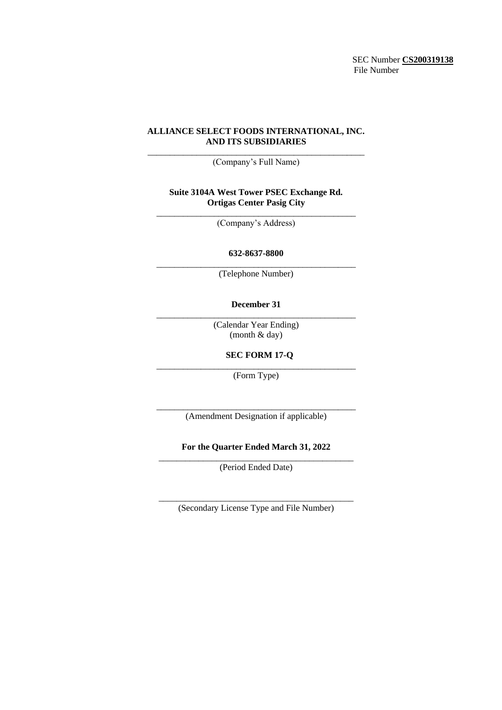SEC Number **CS200319138** File Number

### **ALLIANCE SELECT FOODS INTERNATIONAL, INC. AND ITS SUBSIDIARIES**

\_\_\_\_\_\_\_\_\_\_\_\_\_\_\_\_\_\_\_\_\_\_\_\_\_\_\_\_\_\_\_\_\_\_\_\_\_\_\_\_\_\_\_\_\_\_\_\_\_ (Company's Full Name)

### **Suite 3104A West Tower PSEC Exchange Rd. Ortigas Center Pasig City**

\_\_\_\_\_\_\_\_\_\_\_\_\_\_\_\_\_\_\_\_\_\_\_\_\_\_\_\_\_\_\_\_\_\_\_\_\_\_\_\_\_\_\_\_\_ (Company's Address)

### **632-8637-8800** \_\_\_\_\_\_\_\_\_\_\_\_\_\_\_\_\_\_\_\_\_\_\_\_\_\_\_\_\_\_\_\_\_\_\_\_\_\_\_\_\_\_\_\_\_

(Telephone Number)

### **December 31** \_\_\_\_\_\_\_\_\_\_\_\_\_\_\_\_\_\_\_\_\_\_\_\_\_\_\_\_\_\_\_\_\_\_\_\_\_\_\_\_\_\_\_\_\_

(Calendar Year Ending) (month & day)

# **SEC FORM 17-Q**

\_\_\_\_\_\_\_\_\_\_\_\_\_\_\_\_\_\_\_\_\_\_\_\_\_\_\_\_\_\_\_\_\_\_\_\_\_\_\_\_\_\_\_\_\_ (Form Type)

\_\_\_\_\_\_\_\_\_\_\_\_\_\_\_\_\_\_\_\_\_\_\_\_\_\_\_\_\_\_\_\_\_\_\_\_\_\_\_\_\_\_\_\_\_ (Amendment Designation if applicable)

### **For the Quarter Ended March 31, 2022** \_\_\_\_\_\_\_\_\_\_\_\_\_\_\_\_\_\_\_\_\_\_\_\_\_\_\_\_\_\_\_\_\_\_\_\_\_\_\_\_\_\_\_\_

(Period Ended Date)

\_\_\_\_\_\_\_\_\_\_\_\_\_\_\_\_\_\_\_\_\_\_\_\_\_\_\_\_\_\_\_\_\_\_\_\_\_\_\_\_\_\_\_\_ (Secondary License Type and File Number)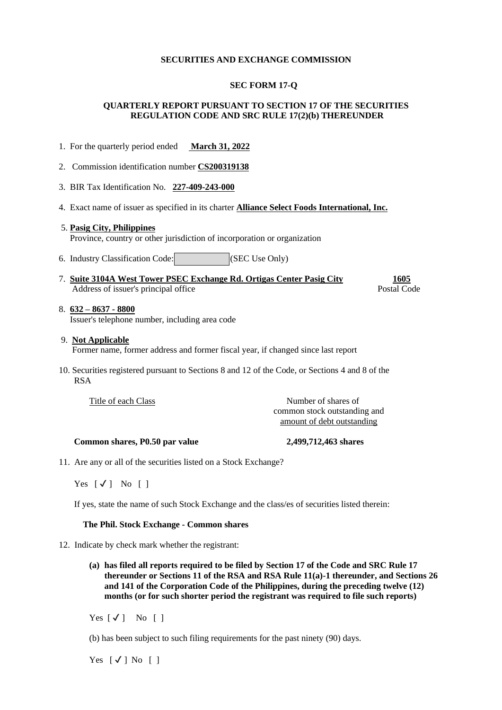## **SECURITIES AND EXCHANGE COMMISSION**

### **SEC FORM 17-Q**

# **QUARTERLY REPORT PURSUANT TO SECTION 17 OF THE SECURITIES REGULATION CODE AND SRC RULE 17(2)(b) THEREUNDER**

- 1. For the quarterly period ended **March 31, 2022**
- 2. Commission identification number **CS200319138**
- 3. BIR Tax Identification No. **227-409-243-000**
- 4. Exact name of issuer as specified in its charter **Alliance Select Foods International, Inc.**
- 5. **Pasig City, Philippines** Province, country or other jurisdiction of incorporation or organization
- 6. Industry Classification Code: (SEC Use Only)
- 7. **Suite 3104A West Tower PSEC Exchange Rd. Ortigas Center Pasig City 1605** Address of issuer's principal office Postal Code Postal Code

#### 8. **632 – 8637 - 8800** Issuer's telephone number, including area code

- 9. **Not Applicable** Former name, former address and former fiscal year, if changed since last report
- 10. Securities registered pursuant to Sections 8 and 12 of the Code, or Sections 4 and 8 of the RSA

Title of each Class Number of shares of common stock outstanding and amount of debt outstanding

### **Common shares, P0.50 par value 2,499,712,463 shares**

11. Are any or all of the securities listed on a Stock Exchange?

Yes  $[\checkmark]$  No  $[\checkmark]$ 

If yes, state the name of such Stock Exchange and the class/es of securities listed therein:

#### **The Phil. Stock Exchange - Common shares**

- 12. Indicate by check mark whether the registrant:
	- **(a) has filed all reports required to be filed by Section 17 of the Code and SRC Rule 17 thereunder or Sections 11 of the RSA and RSA Rule 11(a)-1 thereunder, and Sections 26 and 141 of the Corporation Code of the Philippines, during the preceding twelve (12) months (or for such shorter period the registrant was required to file such reports)**

Yes  $[\checkmark]$  No  $[$ ]

(b) has been subject to such filing requirements for the past ninety (90) days.

Yes  $\lceil \sqrt{\ } \rceil$  No  $\lceil \ \rceil$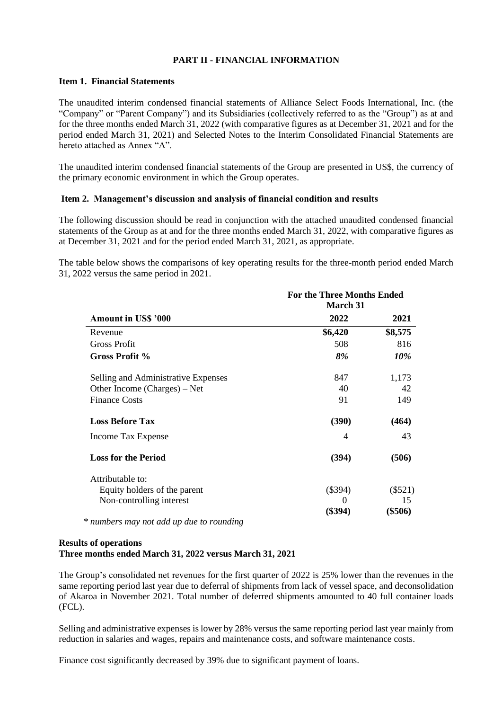# **PART II - FINANCIAL INFORMATION**

# **Item 1. Financial Statements**

The unaudited interim condensed financial statements of Alliance Select Foods International, Inc. (the "Company" or "Parent Company") and its Subsidiaries (collectively referred to as the "Group") as at and for the three months ended March 31, 2022 (with comparative figures as at December 31, 2021 and for the period ended March 31, 2021) and Selected Notes to the Interim Consolidated Financial Statements are hereto attached as Annex "A".

The unaudited interim condensed financial statements of the Group are presented in US\$, the currency of the primary economic environment in which the Group operates.

## **Item 2. Management's discussion and analysis of financial condition and results**

The following discussion should be read in conjunction with the attached unaudited condensed financial statements of the Group as at and for the three months ended March 31, 2022, with comparative figures as at December 31, 2021 and for the period ended March 31, 2021, as appropriate.

The table below shows the comparisons of key operating results for the three-month period ended March 31, 2022 versus the same period in 2021.

|                                     | <b>For the Three Months Ended</b><br>March 31 |           |  |  |  |  |
|-------------------------------------|-----------------------------------------------|-----------|--|--|--|--|
| <b>Amount in USS '000</b>           | 2022                                          | 2021      |  |  |  |  |
| Revenue                             | \$6,420                                       | \$8,575   |  |  |  |  |
| Gross Profit                        | 508                                           | 816       |  |  |  |  |
| Gross Profit %                      | 8%                                            | 10%       |  |  |  |  |
| Selling and Administrative Expenses | 847                                           | 1,173     |  |  |  |  |
| Other Income (Charges) – Net        | 40                                            | 42        |  |  |  |  |
| <b>Finance Costs</b>                | 91                                            | 149       |  |  |  |  |
| <b>Loss Before Tax</b>              | (390)                                         | (464)     |  |  |  |  |
| Income Tax Expense                  | 4                                             | 43        |  |  |  |  |
| <b>Loss for the Period</b>          | (394)                                         | (506)     |  |  |  |  |
| Attributable to:                    |                                               |           |  |  |  |  |
| Equity holders of the parent        | $(\$394)$                                     | $(\$521)$ |  |  |  |  |
| Non-controlling interest            | $\theta$                                      | 15        |  |  |  |  |
|                                     | $(\$394)$                                     | (\$506)   |  |  |  |  |

 *\* numbers may not add up due to rounding*

## **Results of operations Three months ended March 31, 2022 versus March 31, 2021**

The Group's consolidated net revenues for the first quarter of 2022 is 25% lower than the revenues in the same reporting period last year due to deferral of shipments from lack of vessel space, and deconsolidation of Akaroa in November 2021. Total number of deferred shipments amounted to 40 full container loads (FCL).

Selling and administrative expenses is lower by 28% versus the same reporting period last year mainly from reduction in salaries and wages, repairs and maintenance costs, and software maintenance costs.

Finance cost significantly decreased by 39% due to significant payment of loans.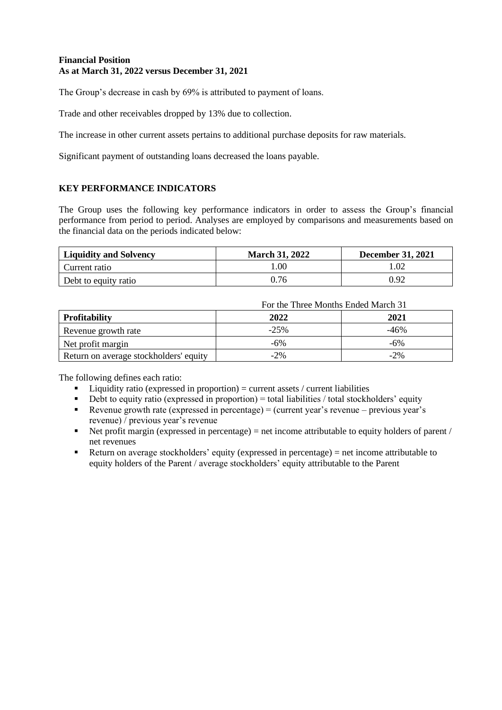# **Financial Position As at March 31, 2022 versus December 31, 2021**

The Group's decrease in cash by 69% is attributed to payment of loans.

Trade and other receivables dropped by 13% due to collection.

The increase in other current assets pertains to additional purchase deposits for raw materials.

Significant payment of outstanding loans decreased the loans payable.

# **KEY PERFORMANCE INDICATORS**

The Group uses the following key performance indicators in order to assess the Group's financial performance from period to period. Analyses are employed by comparisons and measurements based on the financial data on the periods indicated below:

| <b>Liquidity and Solvency</b> | <b>March 31, 2022</b> | <b>December 31, 2021</b> |
|-------------------------------|-----------------------|--------------------------|
| Current ratio                 | .00                   |                          |
| Debt to equity ratio          | 0.76                  | 0.92                     |

For the Three Months Ended March 31

| <b>Profitability</b>                   | 2022   | 2021   |
|----------------------------------------|--------|--------|
| Revenue growth rate                    | $-25%$ | -46%   |
| Net profit margin                      | -6%    | $-6%$  |
| Return on average stockholders' equity | $-2\%$ | $-2\%$ |

The following defines each ratio:

- $\blacksquare$  Liquidity ratio (expressed in proportion) = current assets / current liabilities
- $\bullet$  Debt to equity ratio (expressed in proportion) = total liabilities / total stockholders' equity
- **•** Revenue growth rate (expressed in percentage) = (current year's revenue previous year's revenue) / previous year's revenue
- $\blacksquare$  Net profit margin (expressed in percentage) = net income attributable to equity holders of parent / net revenues
- Return on average stockholders' equity (expressed in percentage) = net income attributable to equity holders of the Parent / average stockholders' equity attributable to the Parent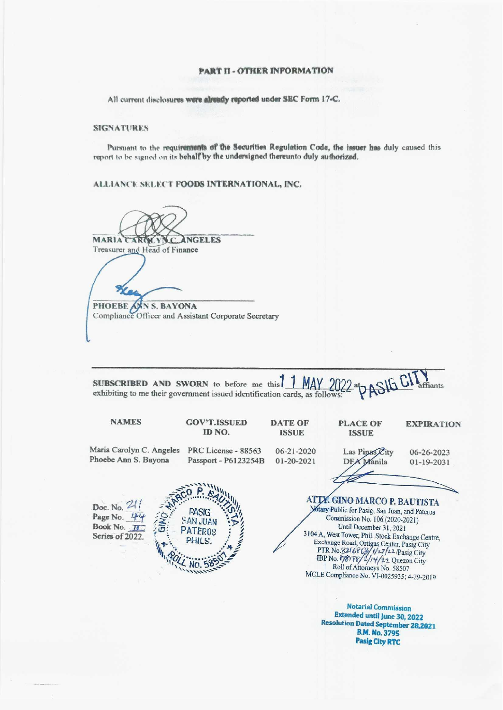#### **PART II - OTHER INFORMATION**

All current disclosures were already reported under SEC Form 17-C.

#### **SIGNATURES**

Pursuant to the requirements of the Securities Regulation Code, the issuer has duly caused this report to be signed on its behalf by the undersigned thereunto duly authorized.

ALLIANCE SELECT FOODS INTERNATIONAL, INC.

**MARIA ANGELES** A Treasurer and Head of Finance

PHOEBE ANN S. BAYONA Compliance Officer and Assistant Corporate Secretary

 $\frac{\text{MAY}}{\text{as follows:}}$  2022 at  $\text{ASIGG}$ SUBSCRIBED AND SWORN to before me this ffiants exhibiting to me their government issued identification cards, as follows:



**Notarial Commission** Extended until June 30, 2022 **Resolution Dated September 28,2021 B.M. No. 3795 Pasig City RTC** 

MCLE Compliance No. VI-0025935; 4-29-2019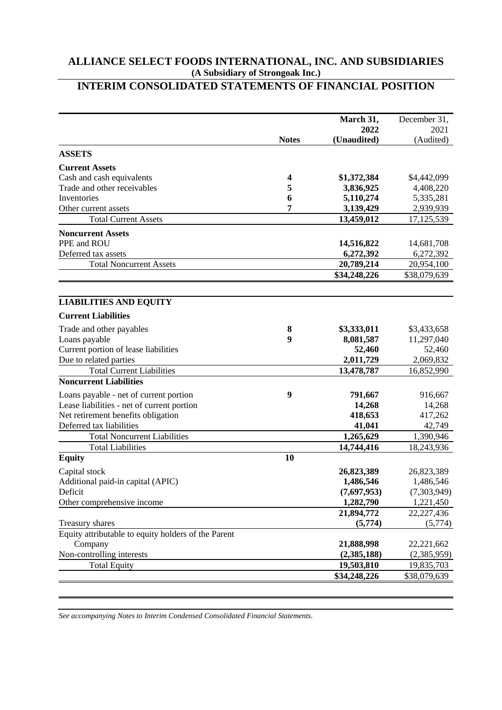# **INTERIM CONSOLIDATED STATEMENTS OF FINANCIAL POSITION**

|                                                     |                  | March 31,    | December 31, |
|-----------------------------------------------------|------------------|--------------|--------------|
|                                                     |                  | 2022         | 2021         |
|                                                     | <b>Notes</b>     | (Unaudited)  | (Audited)    |
| <b>ASSETS</b>                                       |                  |              |              |
| <b>Current Assets</b>                               |                  |              |              |
| Cash and cash equivalents                           | 4                | \$1,372,384  | \$4,442,099  |
| Trade and other receivables                         | 5                | 3,836,925    | 4,408,220    |
| Inventories                                         | 6                | 5,110,274    | 5,335,281    |
| Other current assets                                | 7                | 3,139,429    | 2,939,939    |
| <b>Total Current Assets</b>                         |                  | 13,459,012   | 17, 125, 539 |
| <b>Noncurrent Assets</b>                            |                  |              |              |
| PPE and ROU                                         |                  | 14,516,822   | 14,681,708   |
| Deferred tax assets                                 |                  | 6,272,392    | 6,272,392    |
| <b>Total Noncurrent Assets</b>                      |                  | 20,789,214   | 20,954,100   |
|                                                     |                  | \$34,248,226 | \$38,079,639 |
|                                                     |                  |              |              |
| <b>LIABILITIES AND EQUITY</b>                       |                  |              |              |
| <b>Current Liabilities</b>                          |                  |              |              |
| Trade and other payables                            | 8                | \$3,333,011  | \$3,433,658  |
| Loans payable                                       | $\boldsymbol{9}$ | 8,081,587    | 11,297,040   |
| Current portion of lease liabilities                |                  | 52,460       | 52,460       |
| Due to related parties                              |                  | 2,011,729    | 2,069,832    |
| <b>Total Current Liabilities</b>                    |                  | 13,478,787   | 16,852,990   |
| <b>Noncurrent Liabilities</b>                       |                  |              |              |
| Loans payable - net of current portion              | 9                | 791,667      | 916,667      |
| Lease liabilities - net of current portion          |                  | 14,268       | 14,268       |
| Net retirement benefits obligation                  |                  | 418,653      | 417,262      |
| Deferred tax liabilities                            |                  | 41,041       | 42,749       |
| <b>Total Noncurrent Liabilities</b>                 |                  | 1,265,629    | 1,390,946    |
| <b>Total Liabilities</b>                            |                  | 14,744,416   | 18,243,936   |
| <b>Equity</b>                                       | 10               |              |              |
| Capital stock                                       |                  | 26,823,389   | 26,823,389   |
| Additional paid-in capital (APIC)                   |                  | 1,486,546    | 1,486,546    |
| Deficit                                             |                  | (7,697,953)  | (7,303,949)  |
| Other comprehensive income                          |                  | 1,282,790    | 1,221,450    |
|                                                     |                  | 21,894,772   | 22, 227, 436 |
| Treasury shares                                     |                  | (5,774)      | (5,774)      |
| Equity attributable to equity holders of the Parent |                  |              |              |
| Company                                             |                  | 21,888,998   | 22,221,662   |
| Non-controlling interests                           |                  | (2,385,188)  | (2,385,959)  |
| <b>Total Equity</b>                                 |                  | 19,503,810   | 19,835,703   |
|                                                     |                  | \$34,248,226 | \$38,079,639 |
|                                                     |                  |              |              |

*See accompanying Notes to Interim Condensed Consolidated Financial Statements.*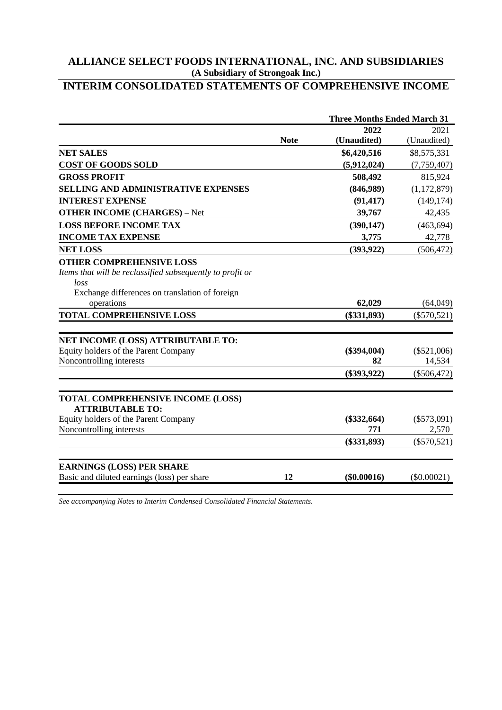# **INTERIM CONSOLIDATED STATEMENTS OF COMPREHENSIVE INCOME**

|                                                                                                                                                        |             | <b>Three Months Ended March 31</b> |               |
|--------------------------------------------------------------------------------------------------------------------------------------------------------|-------------|------------------------------------|---------------|
|                                                                                                                                                        |             | 2022                               | 2021          |
|                                                                                                                                                        | <b>Note</b> | (Unaudited)                        | (Unaudited)   |
| <b>NET SALES</b>                                                                                                                                       |             | \$6,420,516                        | \$8,575,331   |
| <b>COST OF GOODS SOLD</b>                                                                                                                              |             | (5,912,024)                        | (7, 759, 407) |
| <b>GROSS PROFIT</b>                                                                                                                                    |             | 508,492                            | 815,924       |
| SELLING AND ADMINISTRATIVE EXPENSES                                                                                                                    |             | (846,989)                          | (1,172,879)   |
| <b>INTEREST EXPENSE</b>                                                                                                                                |             | (91, 417)                          | (149, 174)    |
| <b>OTHER INCOME (CHARGES) - Net</b>                                                                                                                    |             | 39,767                             | 42,435        |
| <b>LOSS BEFORE INCOME TAX</b>                                                                                                                          |             | (390, 147)                         | (463, 694)    |
| <b>INCOME TAX EXPENSE</b>                                                                                                                              |             | 3,775                              | 42,778        |
| <b>NET LOSS</b>                                                                                                                                        |             | (393, 922)                         | (506, 472)    |
| <b>OTHER COMPREHENSIVE LOSS</b><br>Items that will be reclassified subsequently to profit or<br>loss<br>Exchange differences on translation of foreign |             |                                    |               |
| operations                                                                                                                                             |             | 62,029                             | (64,049)      |
| <b>TOTAL COMPREHENSIVE LOSS</b>                                                                                                                        |             | $(\$331,893)$                      | $(\$570,521)$ |
| NET INCOME (LOSS) ATTRIBUTABLE TO:                                                                                                                     |             |                                    |               |
| Equity holders of the Parent Company                                                                                                                   |             | $(\$394,004)$                      | $(\$521,006)$ |
| Noncontrolling interests                                                                                                                               |             | 82                                 | 14,534        |
|                                                                                                                                                        |             | $(\$393,922)$                      | $(\$506,472)$ |
| TOTAL COMPREHENSIVE INCOME (LOSS)<br><b>ATTRIBUTABLE TO:</b><br>Equity holders of the Parent Company                                                   |             | $(\$332,664)$                      | $(\$573,091)$ |
| Noncontrolling interests                                                                                                                               |             | 771                                | 2,570         |
|                                                                                                                                                        |             | $(\$331,893)$                      | $(\$570,521)$ |
| <b>EARNINGS (LOSS) PER SHARE</b>                                                                                                                       |             |                                    |               |
| Basic and diluted earnings (loss) per share                                                                                                            | 12          | $(\$0.00016)$                      | $(\$0.00021)$ |

*See accompanying Notes to Interim Condensed Consolidated Financial Statements.*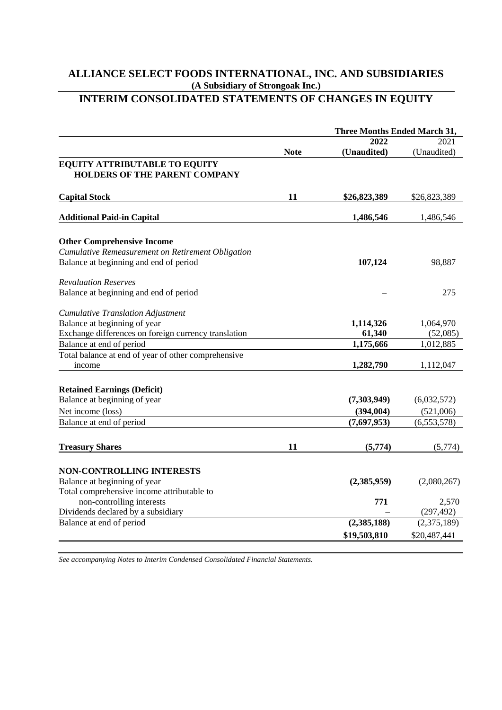# **INTERIM CONSOLIDATED STATEMENTS OF CHANGES IN EQUITY**

|                                                                                                                                  |             | <b>Three Months Ended March 31,</b> |                       |
|----------------------------------------------------------------------------------------------------------------------------------|-------------|-------------------------------------|-----------------------|
|                                                                                                                                  |             | 2022                                | 2021                  |
|                                                                                                                                  | <b>Note</b> | (Unaudited)                         | (Unaudited)           |
| <b>EQUITY ATTRIBUTABLE TO EQUITY</b><br><b>HOLDERS OF THE PARENT COMPANY</b>                                                     |             |                                     |                       |
| <b>Capital Stock</b>                                                                                                             | 11          | \$26,823,389                        | \$26,823,389          |
| <b>Additional Paid-in Capital</b>                                                                                                |             | 1,486,546                           | 1,486,546             |
| <b>Other Comprehensive Income</b><br>Cumulative Remeasurement on Retirement Obligation<br>Balance at beginning and end of period |             | 107,124                             | 98,887                |
| <b>Revaluation Reserves</b>                                                                                                      |             |                                     |                       |
| Balance at beginning and end of period                                                                                           |             |                                     | 275                   |
| <b>Cumulative Translation Adjustment</b><br>Balance at beginning of year<br>Exchange differences on foreign currency translation |             | 1,114,326<br>61,340                 | 1,064,970<br>(52,085) |
| Balance at end of period                                                                                                         |             | 1,175,666                           | 1,012,885             |
| Total balance at end of year of other comprehensive                                                                              |             |                                     |                       |
| income                                                                                                                           |             | 1,282,790                           | 1,112,047             |
| <b>Retained Earnings (Deficit)</b>                                                                                               |             |                                     |                       |
| Balance at beginning of year                                                                                                     |             | (7,303,949)                         | (6,032,572)           |
| Net income (loss)                                                                                                                |             | (394, 004)                          | (521,006)             |
| Balance at end of period                                                                                                         |             | (7,697,953)                         | (6,553,578)           |
| <b>Treasury Shares</b>                                                                                                           | 11          | (5,774)                             | (5,774)               |
| <b>NON-CONTROLLING INTERESTS</b><br>Balance at beginning of year<br>Total comprehensive income attributable to                   |             | (2,385,959)                         | (2,080,267)           |
| non-controlling interests                                                                                                        |             | 771                                 | 2,570                 |
| Dividends declared by a subsidiary                                                                                               |             |                                     | (297, 492)            |
| Balance at end of period                                                                                                         |             | (2, 385, 188)                       | (2,375,189)           |
|                                                                                                                                  |             | \$19,503,810                        | \$20,487,441          |
|                                                                                                                                  |             |                                     |                       |

*See accompanying Notes to Interim Condensed Consolidated Financial Statements.*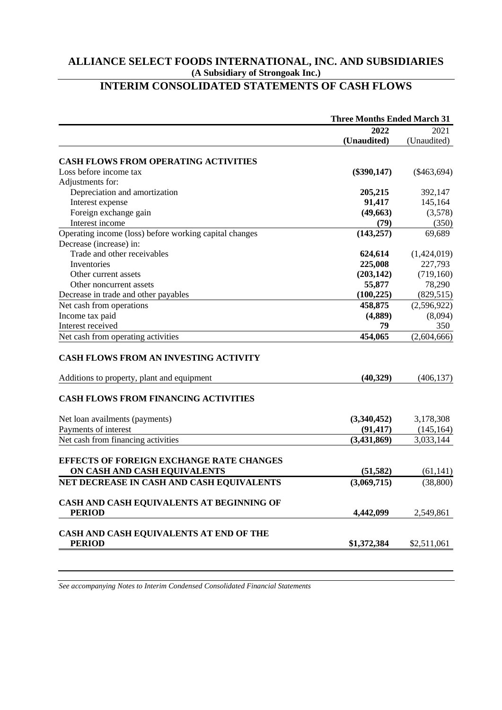# **INTERIM CONSOLIDATED STATEMENTS OF CASH FLOWS**

|                                                                                            | <b>Three Months Ended March 31</b> |                |  |  |
|--------------------------------------------------------------------------------------------|------------------------------------|----------------|--|--|
|                                                                                            | 2022                               | 2021           |  |  |
|                                                                                            | (Unaudited)                        | (Unaudited)    |  |  |
| <b>CASH FLOWS FROM OPERATING ACTIVITIES</b>                                                |                                    |                |  |  |
| Loss before income tax                                                                     | $(\$390,147)$                      | $(\$463,694)$  |  |  |
| Adjustments for:                                                                           |                                    |                |  |  |
| Depreciation and amortization                                                              | 205,215                            | 392,147        |  |  |
| Interest expense                                                                           | 91,417                             | 145,164        |  |  |
| Foreign exchange gain                                                                      | (49, 663)                          | (3,578)        |  |  |
| Interest income                                                                            | (79)                               | (350)          |  |  |
| Operating income (loss) before working capital changes                                     | (143, 257)                         | 69,689         |  |  |
| Decrease (increase) in:                                                                    |                                    |                |  |  |
| Trade and other receivables                                                                | 624,614                            | (1,424,019)    |  |  |
| Inventories                                                                                | 225,008                            | 227,793        |  |  |
| Other current assets                                                                       | (203, 142)                         | (719,160)      |  |  |
| Other noncurrent assets                                                                    | 55,877                             | 78,290         |  |  |
| Decrease in trade and other payables                                                       | (100, 225)                         | (829, 515)     |  |  |
|                                                                                            | 458,875                            | (2,596,922)    |  |  |
| Net cash from operations                                                                   |                                    |                |  |  |
| Income tax paid<br>Interest received                                                       | (4,889)<br>79                      | (8,094)<br>350 |  |  |
| Net cash from operating activities                                                         | 454,065                            | (2,604,666)    |  |  |
| <b>CASH FLOWS FROM AN INVESTING ACTIVITY</b><br>Additions to property, plant and equipment | (40, 329)                          | (406, 137)     |  |  |
| <b>CASH FLOWS FROM FINANCING ACTIVITIES</b>                                                |                                    |                |  |  |
| Net loan availments (payments)                                                             | (3,340,452)                        | 3,178,308      |  |  |
| Payments of interest                                                                       | (91, 417)                          | (145, 164)     |  |  |
| Net cash from financing activities                                                         | (3,431,869)                        | 3,033,144      |  |  |
|                                                                                            |                                    |                |  |  |
| <b>EFFECTS OF FOREIGN EXCHANGE RATE CHANGES</b>                                            |                                    |                |  |  |
| ON CASH AND CASH EQUIVALENTS                                                               | (51, 582)                          | (61, 141)      |  |  |
| NET DECREASE IN CASH AND CASH EQUIVALENTS                                                  | (3,069,715)                        | (38, 800)      |  |  |
| CASH AND CASH EQUIVALENTS AT BEGINNING OF                                                  |                                    |                |  |  |
| <b>PERIOD</b>                                                                              | 4,442,099                          | 2,549,861      |  |  |
| CASH AND CASH EQUIVALENTS AT END OF THE                                                    |                                    |                |  |  |
| <b>PERIOD</b>                                                                              | \$1,372,384                        | \$2,511,061    |  |  |

*See accompanying Notes to Interim Condensed Consolidated Financial Statements*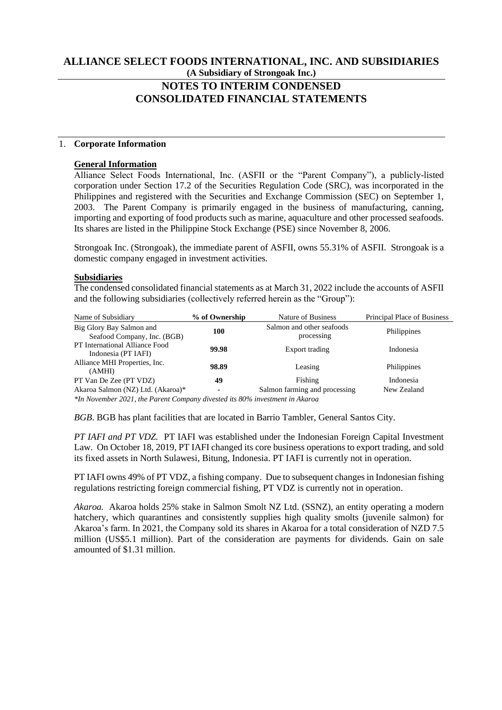# **NOTES TO INTERIM CONDENSED CONSOLIDATED FINANCIAL STATEMENTS**

## 1. **Corporate Information**

### **General Information**

Alliance Select Foods International, Inc. (ASFII or the "Parent Company"), a publicly-listed corporation under Section 17.2 of the Securities Regulation Code (SRC), was incorporated in the Philippines and registered with the Securities and Exchange Commission (SEC) on September 1, 2003. The Parent Company is primarily engaged in the business of manufacturing, canning, importing and exporting of food products such as marine, aquaculture and other processed seafoods. Its shares are listed in the Philippine Stock Exchange (PSE) since November 8, 2006.

Strongoak Inc. (Strongoak), the immediate parent of ASFII, owns 55.31% of ASFII. Strongoak is a domestic company engaged in investment activities.

# **Subsidiaries**

The condensed consolidated financial statements as at March 31, 2022 include the accounts of ASFII and the following subsidiaries (collectively referred herein as the "Group"):

| Name of Subsidiary                                                          | % of Ownership | Nature of Business                      | Principal Place of Business |  |  |  |  |
|-----------------------------------------------------------------------------|----------------|-----------------------------------------|-----------------------------|--|--|--|--|
| Big Glory Bay Salmon and<br>Seafood Company, Inc. (BGB)                     | 100            | Salmon and other seafoods<br>processing | Philippines                 |  |  |  |  |
| PT International Alliance Food<br>Indonesia (PT IAFI)                       | 99.98          | Export trading                          | Indonesia                   |  |  |  |  |
| Alliance MHI Properties, Inc.<br>(AMHI)                                     | 98.89          | Leasing                                 | Philippines                 |  |  |  |  |
| PT Van De Zee (PT VDZ)                                                      | 49             | Fishing                                 | Indonesia                   |  |  |  |  |
| Akaroa Salmon (NZ) Ltd. (Akaroa)*                                           | $\blacksquare$ | Salmon farming and processing           | New Zealand                 |  |  |  |  |
| *In November 2021, the Parent Company divested its 80% investment in Akaroa |                |                                         |                             |  |  |  |  |

*BGB*. BGB has plant facilities that are located in Barrio Tambler, General Santos City.

*PT IAFI and PT VDZ.* PT IAFI was established under the Indonesian Foreign Capital Investment Law. On October 18, 2019, PT IAFI changed its core business operations to export trading, and sold its fixed assets in North Sulawesi, Bitung, Indonesia. PT IAFI is currently not in operation.

PT IAFI owns 49% of PT VDZ, a fishing company. Due to subsequent changes in Indonesian fishing regulations restricting foreign commercial fishing, PT VDZ is currently not in operation.

*Akaroa.* Akaroa holds 25% stake in Salmon Smolt NZ Ltd. (SSNZ), an entity operating a modern hatchery, which quarantines and consistently supplies high quality smolts (juvenile salmon) for Akaroa's farm. In 2021, the Company sold its shares in Akaroa for a total consideration of NZD 7.5 million (US\$5.1 million). Part of the consideration are payments for dividends. Gain on sale amounted of \$1.31 million.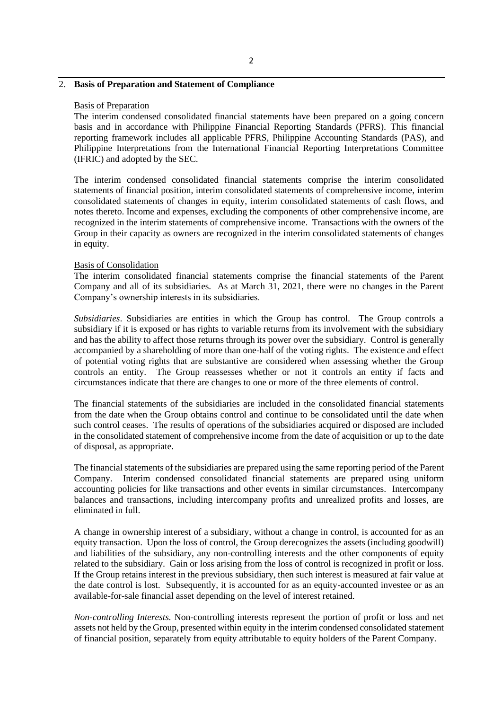# 2

### 2. **Basis of Preparation and Statement of Compliance**

#### Basis of Preparation

The interim condensed consolidated financial statements have been prepared on a going concern basis and in accordance with Philippine Financial Reporting Standards (PFRS). This financial reporting framework includes all applicable PFRS, Philippine Accounting Standards (PAS), and Philippine Interpretations from the International Financial Reporting Interpretations Committee (IFRIC) and adopted by the SEC.

The interim condensed consolidated financial statements comprise the interim consolidated statements of financial position, interim consolidated statements of comprehensive income, interim consolidated statements of changes in equity, interim consolidated statements of cash flows, and notes thereto. Income and expenses, excluding the components of other comprehensive income, are recognized in the interim statements of comprehensive income. Transactions with the owners of the Group in their capacity as owners are recognized in the interim consolidated statements of changes in equity.

### Basis of Consolidation

The interim consolidated financial statements comprise the financial statements of the Parent Company and all of its subsidiaries. As at March 31, 2021, there were no changes in the Parent Company's ownership interests in its subsidiaries.

*Subsidiaries*. Subsidiaries are entities in which the Group has control. The Group controls a subsidiary if it is exposed or has rights to variable returns from its involvement with the subsidiary and has the ability to affect those returns through its power over the subsidiary. Control is generally accompanied by a shareholding of more than one-half of the voting rights. The existence and effect of potential voting rights that are substantive are considered when assessing whether the Group controls an entity. The Group reassesses whether or not it controls an entity if facts and circumstances indicate that there are changes to one or more of the three elements of control.

The financial statements of the subsidiaries are included in the consolidated financial statements from the date when the Group obtains control and continue to be consolidated until the date when such control ceases. The results of operations of the subsidiaries acquired or disposed are included in the consolidated statement of comprehensive income from the date of acquisition or up to the date of disposal, as appropriate.

The financial statements of the subsidiaries are prepared using the same reporting period of the Parent Company. Interim condensed consolidated financial statements are prepared using uniform accounting policies for like transactions and other events in similar circumstances. Intercompany balances and transactions, including intercompany profits and unrealized profits and losses, are eliminated in full.

A change in ownership interest of a subsidiary, without a change in control, is accounted for as an equity transaction. Upon the loss of control, the Group derecognizes the assets (including goodwill) and liabilities of the subsidiary, any non-controlling interests and the other components of equity related to the subsidiary. Gain or loss arising from the loss of control is recognized in profit or loss. If the Group retains interest in the previous subsidiary, then such interest is measured at fair value at the date control is lost. Subsequently, it is accounted for as an equity-accounted investee or as an available-for-sale financial asset depending on the level of interest retained.

*Non-controlling Interests.* Non-controlling interests represent the portion of profit or loss and net assets not held by the Group, presented within equity in the interim condensed consolidated statement of financial position, separately from equity attributable to equity holders of the Parent Company.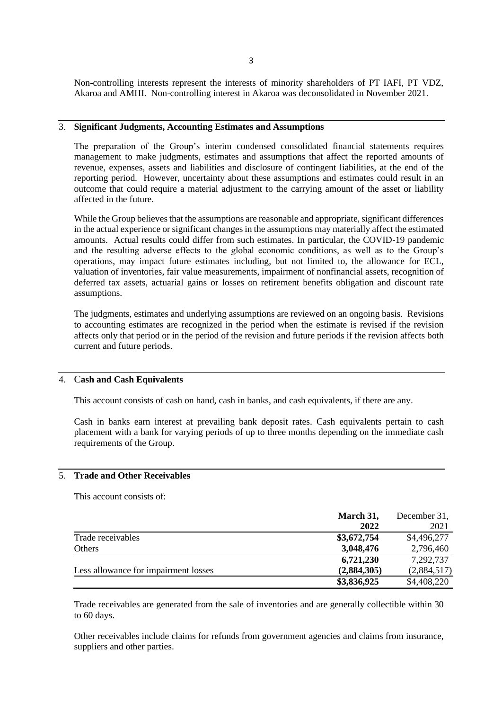Non-controlling interests represent the interests of minority shareholders of PT IAFI, PT VDZ, Akaroa and AMHI. Non-controlling interest in Akaroa was deconsolidated in November 2021.

### 3. **Significant Judgments, Accounting Estimates and Assumptions**

The preparation of the Group's interim condensed consolidated financial statements requires management to make judgments, estimates and assumptions that affect the reported amounts of revenue, expenses, assets and liabilities and disclosure of contingent liabilities, at the end of the reporting period. However, uncertainty about these assumptions and estimates could result in an outcome that could require a material adjustment to the carrying amount of the asset or liability affected in the future.

While the Group believes that the assumptions are reasonable and appropriate, significant differences in the actual experience or significant changes in the assumptions may materially affect the estimated amounts. Actual results could differ from such estimates. In particular, the COVID-19 pandemic and the resulting adverse effects to the global economic conditions, as well as to the Group's operations, may impact future estimates including, but not limited to, the allowance for ECL, valuation of inventories, fair value measurements, impairment of nonfinancial assets, recognition of deferred tax assets, actuarial gains or losses on retirement benefits obligation and discount rate assumptions.

The judgments, estimates and underlying assumptions are reviewed on an ongoing basis. Revisions to accounting estimates are recognized in the period when the estimate is revised if the revision affects only that period or in the period of the revision and future periods if the revision affects both current and future periods.

## 4. C**ash and Cash Equivalents**

This account consists of cash on hand, cash in banks, and cash equivalents, if there are any.

Cash in banks earn interest at prevailing bank deposit rates. Cash equivalents pertain to cash placement with a bank for varying periods of up to three months depending on the immediate cash requirements of the Group.

# 5. **Trade and Other Receivables**

This account consists of:

|                                      | March 31,   | December 31, |
|--------------------------------------|-------------|--------------|
|                                      | 2022        | 2021         |
| Trade receivables                    | \$3,672,754 | \$4,496,277  |
| Others                               | 3,048,476   | 2,796,460    |
|                                      | 6,721,230   | 7,292,737    |
| Less allowance for impairment losses | (2,884,305) | (2,884,517)  |
|                                      | \$3,836,925 | \$4,408,220  |

Trade receivables are generated from the sale of inventories and are generally collectible within 30 to 60 days.

Other receivables include claims for refunds from government agencies and claims from insurance, suppliers and other parties.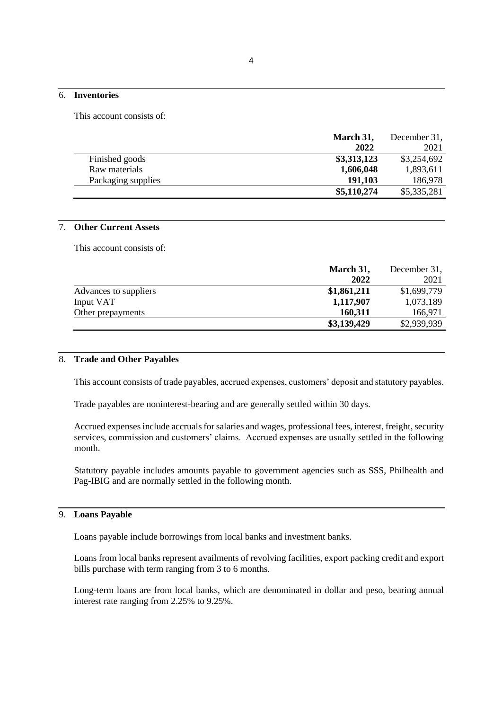### 6. **Inventories**

This account consists of:

|                    | March 31,   | December 31, |
|--------------------|-------------|--------------|
|                    | 2022        | 2021         |
| Finished goods     | \$3,313,123 | \$3,254,692  |
| Raw materials      | 1,606,048   | 1,893,611    |
| Packaging supplies | 191,103     | 186,978      |
|                    | \$5,110,274 | \$5,335,281  |

# 7. **Other Current Assets**

This account consists of:

|                       | March 31,   | December 31, |
|-----------------------|-------------|--------------|
|                       | 2022        | 2021         |
| Advances to suppliers | \$1,861,211 | \$1,699,779  |
| Input VAT             | 1,117,907   | 1,073,189    |
| Other prepayments     | 160,311     | 166,971      |
|                       | \$3,139,429 | \$2,939,939  |

### 8. **Trade and Other Payables**

This account consists of trade payables, accrued expenses, customers' deposit and statutory payables.

Trade payables are noninterest-bearing and are generally settled within 30 days.

Accrued expenses include accruals for salaries and wages, professional fees, interest, freight, security services, commission and customers' claims. Accrued expenses are usually settled in the following month.

Statutory payable includes amounts payable to government agencies such as SSS, Philhealth and Pag-IBIG and are normally settled in the following month.

### 9. **Loans Payable**

Loans payable include borrowings from local banks and investment banks.

Loans from local banks represent availments of revolving facilities, export packing credit and export bills purchase with term ranging from 3 to 6 months.

Long-term loans are from local banks, which are denominated in dollar and peso, bearing annual interest rate ranging from 2.25% to 9.25%.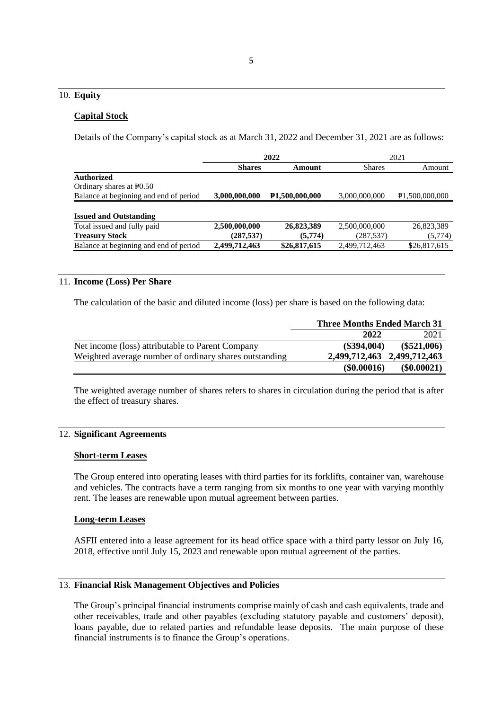# 10. **Equity**

#### **Capital Stock**

Details of the Company's capital stock as at March 31, 2022 and December 31, 2021 are as follows:

|                                        | 2022          |                             | 2021          |                       |  |
|----------------------------------------|---------------|-----------------------------|---------------|-----------------------|--|
|                                        | <b>Shares</b> | Amount                      | <b>Shares</b> | Amount                |  |
| <b>Authorized</b>                      |               |                             |               |                       |  |
| Ordinary shares at P <sub>0.50</sub>   |               |                             |               |                       |  |
| Balance at beginning and end of period | 3,000,000,000 | P <sub>1,500</sub> ,000,000 | 3,000,000,000 | <b>P1.500.000.000</b> |  |
|                                        |               |                             |               |                       |  |
| <b>Issued and Outstanding</b>          |               |                             |               |                       |  |
| Total issued and fully paid            | 2,500,000,000 | 26,823,389                  | 2,500,000,000 | 26,823,389            |  |
| <b>Treasury Stock</b>                  | (287, 537)    | (5,774)                     | (287, 537)    | (5,774)               |  |
| Balance at beginning and end of period | 2,499,712,463 | \$26,817,615                | 2,499,712,463 | \$26,817,615          |  |

### 11. **Income (Loss) Per Share**

The calculation of the basic and diluted income (loss) per share is based on the following data:

|                                                        | <b>Three Months Ended March 31</b> |               |  |
|--------------------------------------------------------|------------------------------------|---------------|--|
|                                                        | 2022                               | 2021          |  |
| Net income (loss) attributable to Parent Company       | (\$394,004)                        | $(\$521,006)$ |  |
| Weighted average number of ordinary shares outstanding | 2,499,712,463 2,499,712,463        |               |  |
|                                                        | (\$0.00016)                        | $(\$0.00021)$ |  |

The weighted average number of shares refers to shares in circulation during the period that is after the effect of treasury shares.

# 12. **Significant Agreements**

### **Short-term Leases**

The Group entered into operating leases with third parties for its forklifts, container van, warehouse and vehicles. The contracts have a term ranging from six months to one year with varying monthly rent. The leases are renewable upon mutual agreement between parties.

### **Long-term Leases**

ASFII entered into a lease agreement for its head office space with a third party lessor on July 16, 2018, effective until July 15, 2023 and renewable upon mutual agreement of the parties.

### 13. **Financial Risk Management Objectives and Policies**

The Group's principal financial instruments comprise mainly of cash and cash equivalents, trade and other receivables, trade and other payables (excluding statutory payable and customers' deposit), loans payable, due to related parties and refundable lease deposits. The main purpose of these financial instruments is to finance the Group's operations.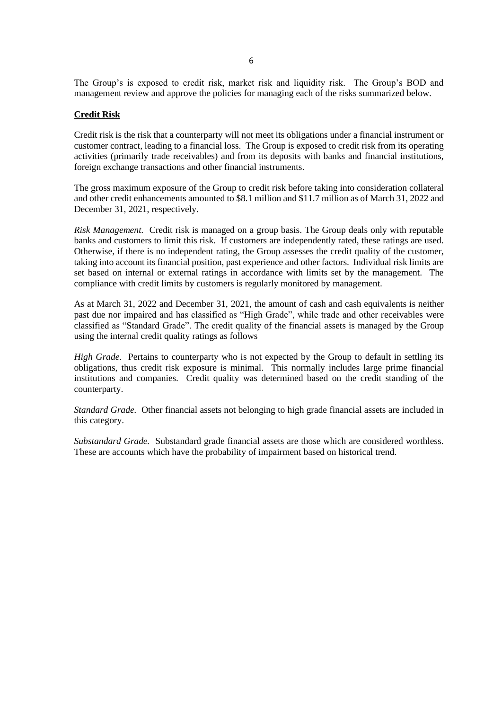The Group's is exposed to credit risk, market risk and liquidity risk. The Group's BOD and management review and approve the policies for managing each of the risks summarized below.

### **Credit Risk**

Credit risk is the risk that a counterparty will not meet its obligations under a financial instrument or customer contract, leading to a financial loss. The Group is exposed to credit risk from its operating activities (primarily trade receivables) and from its deposits with banks and financial institutions, foreign exchange transactions and other financial instruments.

The gross maximum exposure of the Group to credit risk before taking into consideration collateral and other credit enhancements amounted to \$8.1 million and \$11.7 million as of March 31, 2022 and December 31, 2021, respectively.

*Risk Management.* Credit risk is managed on a group basis. The Group deals only with reputable banks and customers to limit this risk. If customers are independently rated, these ratings are used. Otherwise, if there is no independent rating, the Group assesses the credit quality of the customer, taking into account its financial position, past experience and other factors. Individual risk limits are set based on internal or external ratings in accordance with limits set by the management. The compliance with credit limits by customers is regularly monitored by management.

As at March 31, 2022 and December 31, 2021, the amount of cash and cash equivalents is neither past due nor impaired and has classified as "High Grade", while trade and other receivables were classified as "Standard Grade". The credit quality of the financial assets is managed by the Group using the internal credit quality ratings as follows

*High Grade.* Pertains to counterparty who is not expected by the Group to default in settling its obligations, thus credit risk exposure is minimal. This normally includes large prime financial institutions and companies. Credit quality was determined based on the credit standing of the counterparty.

*Standard Grade.* Other financial assets not belonging to high grade financial assets are included in this category.

*Substandard Grade.* Substandard grade financial assets are those which are considered worthless. These are accounts which have the probability of impairment based on historical trend.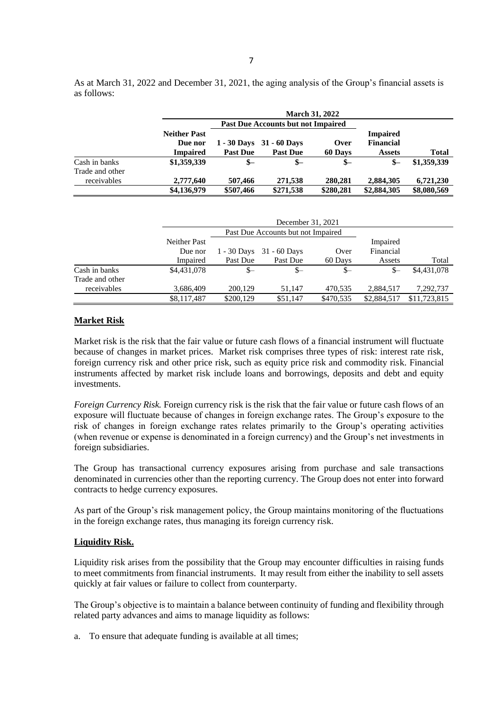As at March 31, 2022 and December 31, 2021, the aging analysis of the Group's financial assets is as follows:

|                                | <b>March 31, 2022</b><br><b>Past Due Accounts but not Impaired</b> |                 |                                                 |                 |                                                      |             |
|--------------------------------|--------------------------------------------------------------------|-----------------|-------------------------------------------------|-----------------|------------------------------------------------------|-------------|
|                                | <b>Neither Past</b><br>Due nor<br><b>Impaired</b>                  | <b>Past Due</b> | $1 - 30$ Days $31 - 60$ Days<br><b>Past Due</b> | Over<br>60 Days | <b>Impaired</b><br><b>Financial</b><br><b>Assets</b> | Total       |
| Cash in banks                  | \$1,359,339                                                        | $S-$            | $S-$                                            | $S-$            | $S-$                                                 | \$1,359,339 |
| Trade and other<br>receivables | 2,777,640                                                          | 507,466         | 271,538                                         | 280,281         | 2,884,305                                            | 6,721,230   |
|                                | \$4,136,979                                                        | \$507,466       | \$271,538                                       | \$280,281       | \$2,884,305                                          | \$8,080,569 |

|                 |                     | December 31, 2021                  |                              |           |             |              |
|-----------------|---------------------|------------------------------------|------------------------------|-----------|-------------|--------------|
|                 |                     | Past Due Accounts but not Impaired |                              |           |             |              |
|                 | <b>Neither Past</b> |                                    |                              |           | Impaired    |              |
|                 | Due nor             |                                    | $1 - 30$ Days $31 - 60$ Days | Over      | Financial   |              |
|                 | Impaired            | Past Due                           | Past Due                     | 60 Days   | Assets      | Total        |
| Cash in banks   | \$4,431,078         | $S-$                               | $S-$                         | $S-$      | \$—         | \$4,431,078  |
| Trade and other |                     |                                    |                              |           |             |              |
| receivables     | 3,686,409           | 200.129                            | 51.147                       | 470,535   | 2,884,517   | 7,292,737    |
|                 | \$8,117,487         | \$200,129                          | \$51,147                     | \$470,535 | \$2,884,517 | \$11,723,815 |

## **Market Risk**

Market risk is the risk that the fair value or future cash flows of a financial instrument will fluctuate because of changes in market prices. Market risk comprises three types of risk: interest rate risk, foreign currency risk and other price risk, such as equity price risk and commodity risk. Financial instruments affected by market risk include loans and borrowings, deposits and debt and equity investments.

*Foreign Currency Risk.* Foreign currency risk is the risk that the fair value or future cash flows of an exposure will fluctuate because of changes in foreign exchange rates. The Group's exposure to the risk of changes in foreign exchange rates relates primarily to the Group's operating activities (when revenue or expense is denominated in a foreign currency) and the Group's net investments in foreign subsidiaries.

The Group has transactional currency exposures arising from purchase and sale transactions denominated in currencies other than the reporting currency. The Group does not enter into forward contracts to hedge currency exposures.

As part of the Group's risk management policy, the Group maintains monitoring of the fluctuations in the foreign exchange rates, thus managing its foreign currency risk.

### **Liquidity Risk.**

Liquidity risk arises from the possibility that the Group may encounter difficulties in raising funds to meet commitments from financial instruments. It may result from either the inability to sell assets quickly at fair values or failure to collect from counterparty.

The Group's objective is to maintain a balance between continuity of funding and flexibility through related party advances and aims to manage liquidity as follows:

a. To ensure that adequate funding is available at all times;